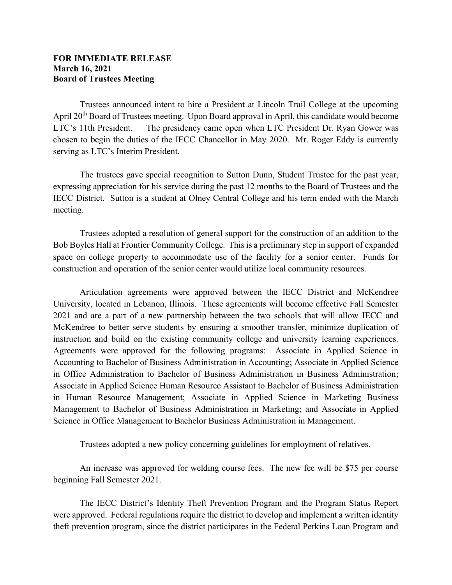## **FOR IMMEDIATE RELEASE March 16, 2021 Board of Trustees Meeting**

Trustees announced intent to hire a President at Lincoln Trail College at the upcoming April 20<sup>th</sup> Board of Trustees meeting. Upon Board approval in April, this candidate would become LTC's 11th President. The presidency came open when LTC President Dr. Ryan Gower was chosen to begin the duties of the IECC Chancellor in May 2020. Mr. Roger Eddy is currently serving as LTC's Interim President.

The trustees gave special recognition to Sutton Dunn, Student Trustee for the past year, expressing appreciation for his service during the past 12 months to the Board of Trustees and the IECC District. Sutton is a student at Olney Central College and his term ended with the March meeting.

Trustees adopted a resolution of general support for the construction of an addition to the Bob Boyles Hall at Frontier Community College. This is a preliminary step in support of expanded space on college property to accommodate use of the facility for a senior center. Funds for construction and operation of the senior center would utilize local community resources.

Articulation agreements were approved between the IECC District and McKendree University, located in Lebanon, Illinois. These agreements will become effective Fall Semester 2021 and are a part of a new partnership between the two schools that will allow IECC and McKendree to better serve students by ensuring a smoother transfer, minimize duplication of instruction and build on the existing community college and university learning experiences. Agreements were approved for the following programs: Associate in Applied Science in Accounting to Bachelor of Business Administration in Accounting; Associate in Applied Science in Office Administration to Bachelor of Business Administration in Business Administration; Associate in Applied Science Human Resource Assistant to Bachelor of Business Administration in Human Resource Management; Associate in Applied Science in Marketing Business Management to Bachelor of Business Administration in Marketing; and Associate in Applied Science in Office Management to Bachelor Business Administration in Management.

Trustees adopted a new policy concerning guidelines for employment of relatives.

An increase was approved for welding course fees. The new fee will be \$75 per course beginning Fall Semester 2021.

The IECC District's Identity Theft Prevention Program and the Program Status Report were approved. Federal regulations require the district to develop and implement a written identity theft prevention program, since the district participates in the Federal Perkins Loan Program and